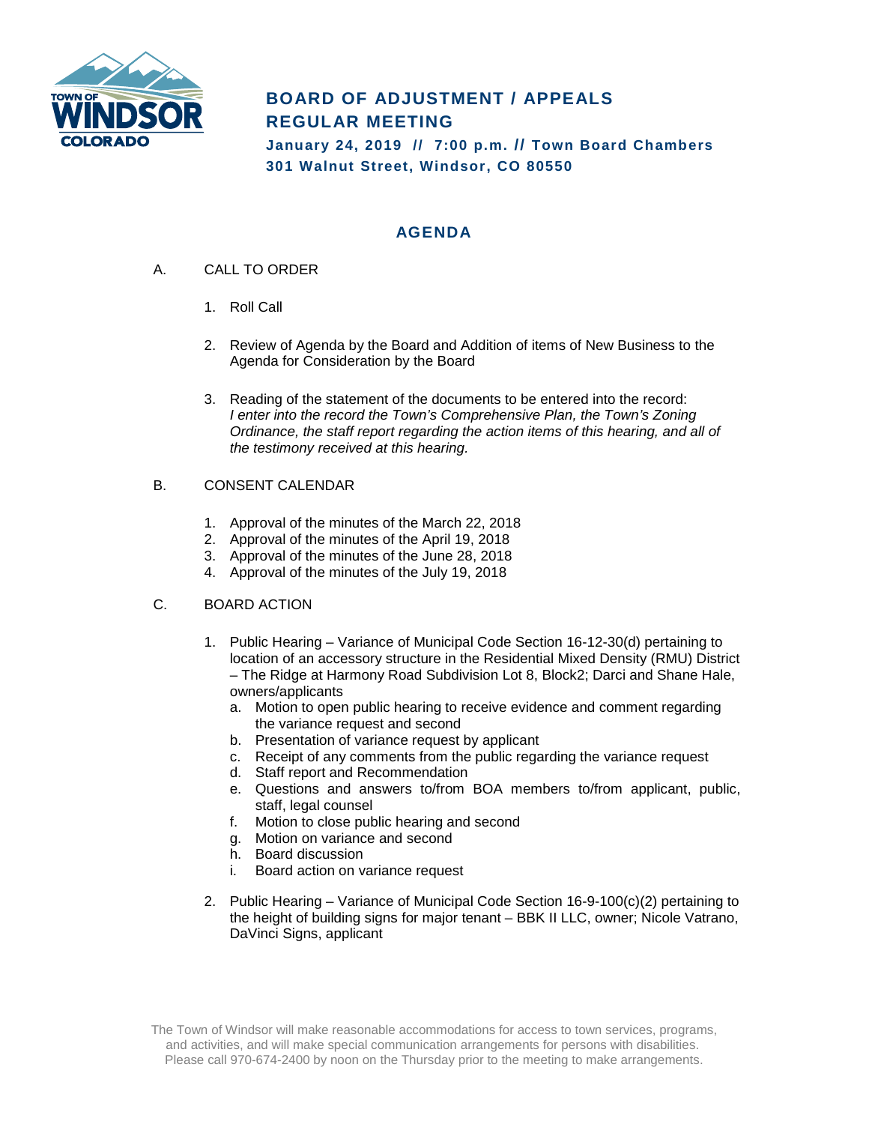

# **BOARD OF ADJUSTMENT / APPEALS REGULAR MEETING**

**January 24, 2019 // 7:00 p.m. // Town Board Chambers 301 Walnut Street, Windsor, CO 80550**

# **AGENDA**

- A. CALL TO ORDER
	- 1. Roll Call
	- 2. Review of Agenda by the Board and Addition of items of New Business to the Agenda for Consideration by the Board
	- 3. Reading of the statement of the documents to be entered into the record: *I enter into the record the Town's Comprehensive Plan, the Town's Zoning Ordinance, the staff report regarding the action items of this hearing, and all of the testimony received at this hearing.*

### B. CONSENT CALENDAR

- 1. Approval of the minutes of the March 22, 2018
- 2. Approval of the minutes of the April 19, 2018
- 3. Approval of the minutes of the June 28, 2018
- 4. Approval of the minutes of the July 19, 2018

## C. BOARD ACTION

- 1. Public Hearing Variance of Municipal Code Section 16-12-30(d) pertaining to location of an accessory structure in the Residential Mixed Density (RMU) District – The Ridge at Harmony Road Subdivision Lot 8, Block2; Darci and Shane Hale, owners/applicants
	- a. Motion to open public hearing to receive evidence and comment regarding the variance request and second
	- b. Presentation of variance request by applicant
	- c. Receipt of any comments from the public regarding the variance request
	- d. Staff report and Recommendation
	- e. Questions and answers to/from BOA members to/from applicant, public, staff, legal counsel
	- f. Motion to close public hearing and second
	- g. Motion on variance and second
	- h. Board discussion
	- i. Board action on variance request
- 2. Public Hearing Variance of Municipal Code Section 16-9-100(c)(2) pertaining to the height of building signs for major tenant – BBK II LLC, owner; Nicole Vatrano, DaVinci Signs, applicant

The Town of Windsor will make reasonable accommodations for access to town services, programs, and activities, and will make special communication arrangements for persons with disabilities. Please call 970-674-2400 by noon on the Thursday prior to the meeting to make arrangements.